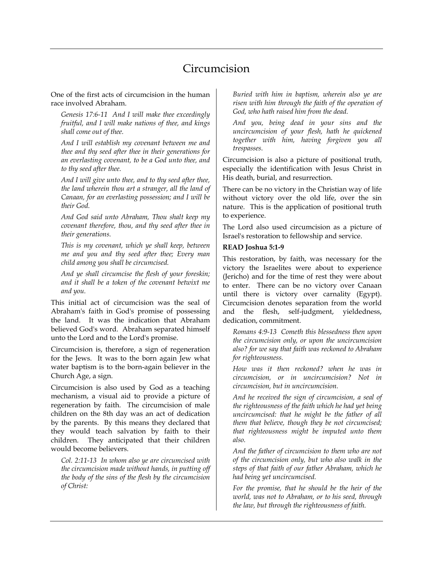## Circumcision

One of the first acts of circumcision in the human race involved Abraham.

*Genesis 17:6-11 And I will make thee exceedingly fruitful, and I will make nations of thee, and kings shall come out of thee.* 

*And I will establish my covenant between me and thee and thy seed after thee in their generations for an everlasting covenant, to be a God unto thee, and to thy seed after thee.* 

*And I will give unto thee, and to thy seed after thee, the land wherein thou art a stranger, all the land of Canaan, for an everlasting possession; and I will be their God.* 

*And God said unto Abraham, Thou shalt keep my covenant therefore, thou, and thy seed after thee in their generations.* 

*This is my covenant, which ye shall keep, between me and you and thy seed after thee; Every man child among you shall be circumcised.* 

*And ye shall circumcise the flesh of your foreskin; and it shall be a token of the covenant betwixt me and you.* 

This initial act of circumcision was the seal of Abraham's faith in God's promise of possessing the land. It was the indication that Abraham believed God's word. Abraham separated himself unto the Lord and to the Lord's promise.

Circumcision is, therefore, a sign of regeneration for the Jews. It was to the born again Jew what water baptism is to the born-again believer in the Church Age, a sign.

Circumcision is also used by God as a teaching mechanism, a visual aid to provide a picture of regeneration by faith. The circumcision of male children on the 8th day was an act of dedication by the parents. By this means they declared that they would teach salvation by faith to their children. They anticipated that their children would become believers.

*Col. 2:11-13 In whom also ye are circumcised with the circumcision made without hands, in putting off the body of the sins of the flesh by the circumcision of Christ:* 

*Buried with him in baptism, wherein also ye are risen with him through the faith of the operation of God, who hath raised him from the dead.* 

*And you, being dead in your sins and the uncircumcision of your flesh, hath he quickened together with him, having forgiven you all trespasses.* 

Circumcision is also a picture of positional truth, especially the identification with Jesus Christ in His death, burial, and resurrection.

There can be no victory in the Christian way of life without victory over the old life, over the sin nature. This is the application of positional truth to experience.

The Lord also used circumcision as a picture of Israel's restoration to fellowship and service.

## **READ Joshua 5:1-9**

This restoration, by faith, was necessary for the victory the Israelites were about to experience (Jericho) and for the time of rest they were about to enter. There can be no victory over Canaan until there is victory over carnality (Egypt). Circumcision denotes separation from the world and the flesh, self-judgment, yieldedness, dedication, commitment.

*Romans 4:9-13 Cometh this blessedness then upon the circumcision only, or upon the uncircumcision also? for we say that faith was reckoned to Abraham for righteousness.* 

*How was it then reckoned? when he was in circumcision, or in uncircumcision? Not in circumcision, but in uncircumcision.* 

*And he received the sign of circumcision, a seal of the righteousness of the faith which he had yet being uncircumcised: that he might be the father of all them that believe, though they be not circumcised; that righteousness might be imputed unto them also.* 

*And the father of circumcision to them who are not of the circumcision only, but who also walk in the steps of that faith of our father Abraham, which he had being yet uncircumcised.* 

*For the promise, that he should be the heir of the world, was not to Abraham, or to his seed, through the law, but through the righteousness of faith.*